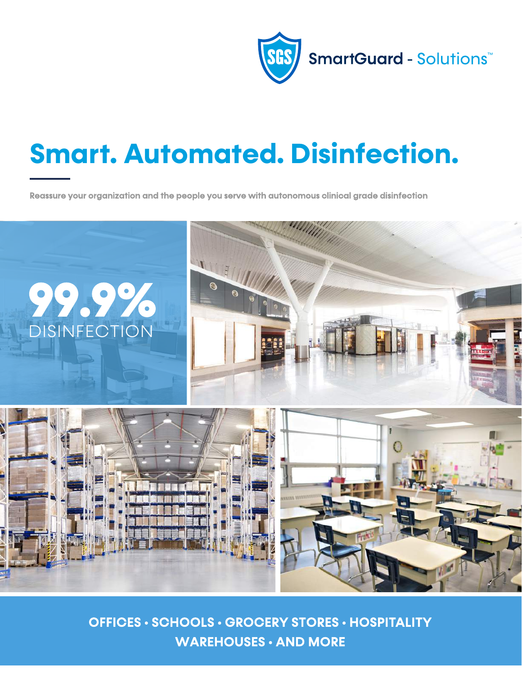

# **Smart. Automated. Disinfection.**

Reassure your organization and the people you serve with autonomous clinical grade disinfection



OFFICES • SCHOOLS • GROCERY STORES • HOSPITALITY WAREHOUSES • AND MORE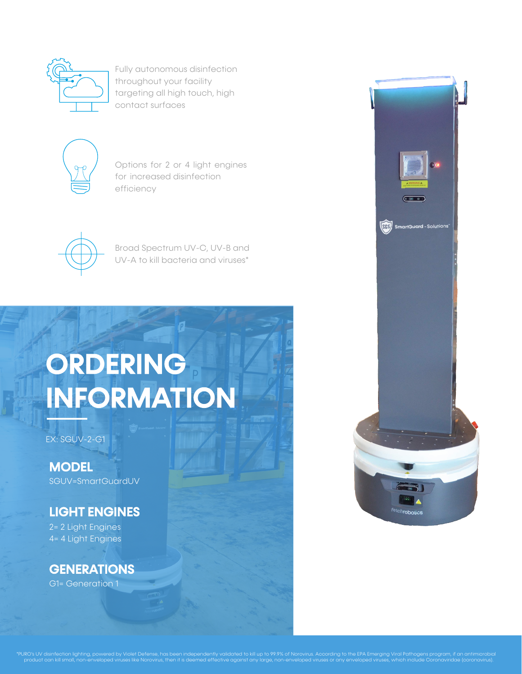

Fully autonomous disinfection throughout your facility targeting all high touch, high contact surfaces



Options for 2 or 4 light engines for increased disinfection efficiency



Broad Spectrum UV-C, UV-B and UV-A to kill bacteria and viruses\*

# ORDERING INFORMATION

EX: SGUV-2-G1

**MODEL** SGUV=SmartGuardUV

#### LIGHT ENGINES

2= 2 Light Engines 4= 4 Light Engines

### **GENERATIONS**

G1= Generation 1



irus. According to the EPA Emerging Viral Pathogens program, if an antimicrobic<br>ed viruses or any enveloped viruses, which include Coronaviridae (coronavirus). puro's UV disinfection lighting, powered by Violet Dorovirus, then it is deemed effective against any large a<br>Norovirus any large, non-enveloped viruses, like include Coronavirus, which include  $\alpha$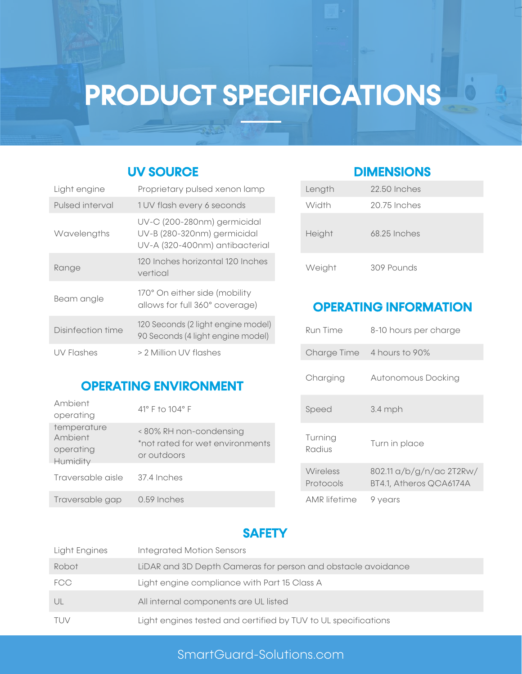## PRODUCT SPECIFICATIONS

#### UV SOURCE DIMENSIONS

| Light engine      | Proprietary pulsed xenon lamp                                                                | Length          | 22.50 Inches            |
|-------------------|----------------------------------------------------------------------------------------------|-----------------|-------------------------|
| Pulsed interval   | 1 UV flash every 6 seconds                                                                   | Width           | 20.75 Inches            |
| Wavelengths       | UV-C (200-280nm) germicidal<br>UV-B (280-320nm) germicidal<br>UV-A (320-400nm) antibacterial | Height          | 68.25 Inches            |
| Range             | 120 Inches horizontal 120 Inches<br>vertical                                                 | Weight          | 309 Pounds              |
| Beam angle        | 170° On either side (mobility<br>allows for full 360° coverage)                              |                 | <b>OPERATING INFORM</b> |
| Disinfection time | 120 Seconds (2 light engine model)<br>90 Seconds (4 light engine model)                      | <b>Run Time</b> | 8-10 hours per          |
| UV Flashes        | > 2 Million UV flashes                                                                       | Charge Time     | 4 hours to 90%          |

OPERATING ENVIRONMENT

Traversable aisle 37.4 Inches

Traversable gap 0.59 Inches

Ambient operating temperature

Ambient operating Humidity

### Length 22.50 Inches

| Width          | 20.75 Inches |
|----------------|--------------|
| Height         | 68.25 Inches |
| $M\alpha$ inht | 309 Pounds   |

#### **OPERATING INFORMATION**

| <u>IZU SECONOS (Z IIGNI ENGINE MOQEI)</u><br>90 Seconds (4 light engine model) | Run Time              | 8-10 hours per charge                               |
|--------------------------------------------------------------------------------|-----------------------|-----------------------------------------------------|
| > 2 Million UV flashes                                                         |                       | Charge Time 4 hours to 90%                          |
| <b>IG ENVIRONMENT</b>                                                          | Charging              | Autonomous Docking                                  |
| 41° F to 104° F                                                                | Speed                 | $3.4$ mph                                           |
| <80% RH non-condensing<br>*not rated for wet environments<br>or outdoors       | Turning<br>Radius     | Turn in place                                       |
| 37.4 Inches                                                                    | Wireless<br>Protocols | 802.11 a/b/g/n/ac 2T2Rw/<br>BT4.1, Atheros QCA6174A |
| 0.59 Inches                                                                    | <b>AMR</b> lifetime   | 9 years                                             |

#### **SAFETY**

| Light Engines | <b>Integrated Motion Sensors</b>                               |
|---------------|----------------------------------------------------------------|
| Robot         | LiDAR and 3D Depth Cameras for person and obstacle avoidance   |
| <b>FCC</b>    | Light engine compliance with Part 15 Class A                   |
| UL            | All internal components are UL listed                          |
| TUV           | Light engines tested and certified by TUV to UL specifications |

#### SmartGuard-Solutions.com